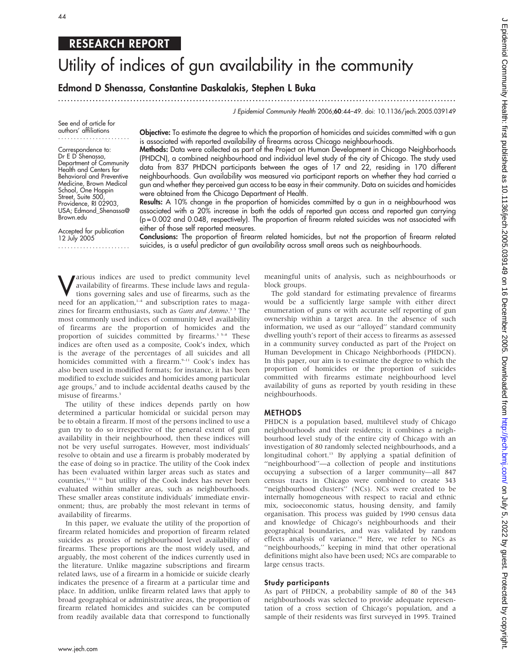# RESEARCH REPORT

# Utility of indices of gun availability in the community

# Edmond D Shenassa, Constantine Daskalakis, Stephen L Buka

...............................................................................................................................

J Epidemiol Community Health 2006;60:44–49. doi: 10.1136/jech.2005.039149

See end of article for authors' affiliations .......................

Correspondence to: Dr E D Shenassa, Department of Community Health and Centers for Behavioral and Preventive Medicine, Brown Medical School, One Hoppin Street, Suite 500, Providence, RI 02903, USA; Edmond\_Shenassa@ Brown.edu

Accepted for publication 12 July 2005 ....................... Objective: To estimate the degree to which the proportion of homicides and suicides committed with a gun is associated with reported availability of firearms across Chicago neighbourhoods.

Methods: Data were collected as part of the Project on Human Development in Chicago Neighborhoods (PHDCN), a combined neighbourhood and individual level study of the city of Chicago. The study used data from 837 PHDCN participants between the ages of 17 and 22, residing in 170 different neighbourhoods. Gun availability was measured via participant reports on whether they had carried a gun and whether they perceived gun access to be easy in their community. Data on suicides and homicides were obtained from the Chicago Department of Health.

Results: A 10% change in the proportion of homicides committed by a gun in a neighbourhood was associated with a 20% increase in both the odds of reported gun access and reported gun carrying (p = 0.002 and 0.048, respectively). The proportion of firearm related suicides was not associated with either of those self reported measures.

Conclusions: The proportion of firearm related homicides, but not the proportion of firearm related suicides, is a useful predictor of gun availability across small areas such as neighbourhoods.

**V**arious indices are used to predict community level<br>availability of firearms. These include laws and regula-<br>tions governing sales and use of firearms, such as the<br>need for an application  $\frac{1}{4}$  and subscription rate availability of firearms. These include laws and regulations governing sales and use of firearms, such as the need for an application,<sup>1-4</sup> and subscription rates to magazines for firearm enthusiasts, such as Guns and Ammo.<sup>35</sup> The most commonly used indices of community level availability of firearms are the proportion of homicides and the proportion of suicides committed by firearms.<sup>3 5–8</sup> These indices are often used as a composite, Cook's index, which is the average of the percentages of all suicides and all homicides committed with a firearm.<sup>9-11</sup> Cook's index has also been used in modified formats; for instance, it has been modified to exclude suicides and homicides among particular age groups,<sup>7</sup> and to include accidental deaths caused by the misuse of firearms.<sup>3</sup>

The utility of these indices depends partly on how determined a particular homicidal or suicidal person may be to obtain a firearm. If most of the persons inclined to use a gun try to do so irrespective of the general extent of gun availability in their neighbourhood, then these indices will not be very useful surrogates. However, most individuals' resolve to obtain and use a firearm is probably moderated by the ease of doing so in practice. The utility of the Cook index has been evaluated within larger areas such as states and counties,11 12 31 but utility of the Cook index has never been evaluated within smaller areas, such as neighbourhoods. These smaller areas constitute individuals' immediate environment; thus, are probably the most relevant in terms of availability of firearms.

In this paper, we evaluate the utility of the proportion of firearm related homicides and proportion of firearm related suicides as proxies of neighbourhood level availability of firearms. These proportions are the most widely used, and arguably, the most coherent of the indices currently used in the literature. Unlike magazine subscriptions and firearm related laws, use of a firearm in a homicide or suicide clearly indicates the presence of a firearm at a particular time and place. In addition, unlike firearm related laws that apply to broad geographical or administrative areas, the proportion of firearm related homicides and suicides can be computed from readily available data that correspond to functionally

meaningful units of analysis, such as neighbourhoods or block groups.

The gold standard for estimating prevalence of firearms would be a sufficiently large sample with either direct enumeration of guns or with accurate self reporting of gun ownership within a target area. In the absence of such information, we used as our ''alloyed'' standard community dwelling youth's report of their access to firearms as assessed in a community survey conducted as part of the Project on Human Development in Chicago Neighborhoods (PHDCN). In this paper, our aim is to estimate the degree to which the proportion of homicides or the proportion of suicides committed with firearms estimate neighbourhood level availability of guns as reported by youth residing in these neighbourhoods.

#### METHODS

PHDCN is a population based, multilevel study of Chicago neighbourhoods and their residents; it combines a neighbourhood level study of the entire city of Chicago with an investigation of 80 randomly selected neighbourhoods, and a longitudinal cohort.<sup>13</sup> By applying a spatial definition of "neighbourhood"-a collection of people and institutions occupying a subsection of a larger community—all 847 census tracts in Chicago were combined to create 343 "neighbourhood clusters" (NCs). NCs were created to be internally homogeneous with respect to racial and ethnic mix, socioeconomic status, housing density, and family organisation. This process was guided by 1990 census data and knowledge of Chicago's neighbourhoods and their geographical boundaries, and was validated by random effects analysis of variance.<sup>14</sup> Here, we refer to NCs as "neighbourhoods," keeping in mind that other operational definitions might also have been used; NCs are comparable to large census tracts.

# Study participants

As part of PHDCN, a probability sample of 80 of the 343 neighbourhoods was selected to provide adequate representation of a cross section of Chicago's population, and a sample of their residents was first surveyed in 1995. Trained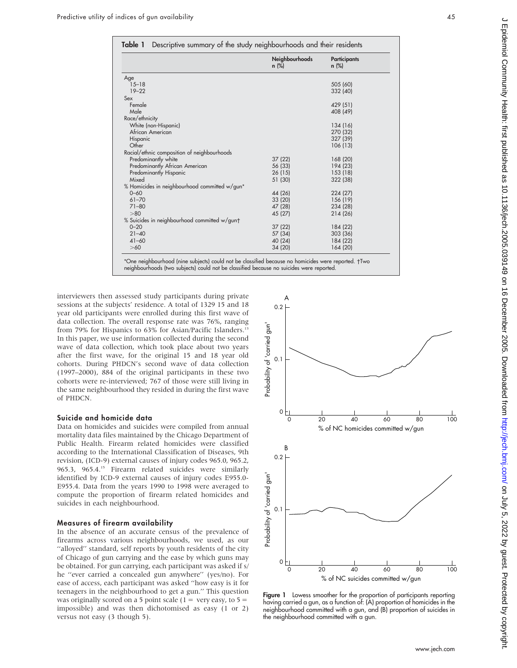|                                               | Neighbourhoods<br>$n$ (%) | <b>Participants</b><br>$n$ (%) |
|-----------------------------------------------|---------------------------|--------------------------------|
| Age                                           |                           |                                |
| $15 - 18$                                     |                           | 505 (60)                       |
| $19 - 22$                                     |                           | 332 (40)                       |
| Sex                                           |                           |                                |
| Female                                        |                           | 429 (51)                       |
| Male                                          |                           | 408 (49)                       |
| Race/ethnicity                                |                           |                                |
| White (non-Hispanic)                          |                           | 134 (16)                       |
| African American                              |                           | 270 (32)                       |
| Hispanic                                      |                           | 327 (39)                       |
| Other                                         |                           | 106 (13)                       |
| Racial/ethnic composition of neighbourhoods   |                           |                                |
| Predominantly white                           | 37(22)                    | 168 (20)                       |
| Predominantly African American                | 56 (33)                   | 194 (23)                       |
| Predominantly Hispanic                        | 26(15)                    | 153 (18)                       |
| Mixed                                         | 51 (30)                   | 322 (38)                       |
| % Homicides in neighbourhood committed w/gun* |                           |                                |
| $0 - 60$                                      | 44 (26)                   | 224 (27)                       |
| $61 - 70$                                     | 33 (20)                   | 156 (19)                       |
| $71 - 80$                                     | 47 (28)                   | 234 (28)                       |
| > 80                                          | 45 (27)                   | 214 (26)                       |
| % Suicides in neighbourhood committed w/gunt  |                           |                                |
| $0 - 20$                                      | 37 (22)                   | 184 (22)                       |
| $21 - 40$                                     | 57 (34)                   | 303 (36)                       |
| $41 - 60$                                     | 40 (24)                   | 184 (22)                       |
| >60                                           | 34 (20)                   | 164 (20)                       |

neighbourhoods (two subjects) could not be classified because no suicides were reported.

interviewers then assessed study participants during private sessions at the subjects' residence. A total of 1329 15 and 18 year old participants were enrolled during this first wave of data collection. The overall response rate was 76%, ranging from 79% for Hispanics to 63% for Asian/Pacific Islanders.<sup>1</sup> In this paper, we use information collected during the second wave of data collection, which took place about two years after the first wave, for the original 15 and 18 year old cohorts. During PHDCN's second wave of data collection (1997–2000), 884 of the original participants in these two cohorts were re-interviewed; 767 of those were still living in the same neighbourhood they resided in during the first wave of PHDCN.

#### Suicide and homicide data

Data on homicides and suicides were compiled from annual mortality data files maintained by the Chicago Department of Public Health. Firearm related homicides were classified according to the International Classification of Diseases, 9th revision, (ICD-9) external causes of injury codes 965.0, 965.2, 965.3, 965.4.<sup>15</sup> Firearm related suicides were similarly identified by ICD-9 external causes of injury codes E955.0- E955.4. Data from the years 1990 to 1998 were averaged to compute the proportion of firearm related homicides and suicides in each neighbourhood.

#### Measures of firearm availability

In the absence of an accurate census of the prevalence of firearms across various neighbourhoods, we used, as our ''alloyed'' standard, self reports by youth residents of the city of Chicago of gun carrying and the ease by which guns may be obtained. For gun carrying, each participant was asked if s/ he ''ever carried a concealed gun anywhere'' (yes/no). For ease of access, each participant was asked ''how easy is it for teenagers in the neighbourhood to get a gun.'' This question was originally scored on a 5 point scale ( $1 =$  very easy, to  $5 =$ impossible) and was then dichotomised as easy (1 or 2) versus not easy (3 though 5).



Figure 1 Lowess smoother for the proportion of participants reporting having carried a gun, as a function of: (A) proportion of homicides in the neighbourhood committed with a gun, and (B) proportion of suicides in the neighbourhood committed with a gun.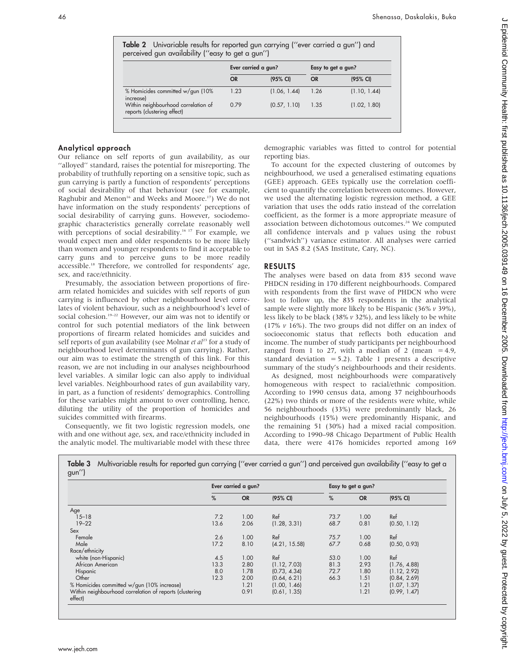| Table 2 Univariable results for reported gun carrying ("ever carried a gun") and |  |
|----------------------------------------------------------------------------------|--|
| perceived gun availability ("easy to get a gun")                                 |  |

|                                                                    | Ever carried a gun? |              | Easy to get a gun? |              |
|--------------------------------------------------------------------|---------------------|--------------|--------------------|--------------|
|                                                                    | <b>OR</b>           | $(95%$ CI)   | <b>OR</b>          | (95% CI)     |
| % Homicides committed w/gun (10%)<br>increase)                     | 1.23                | (1.06, 1.44) | 1.26               | (1.10, 1.44) |
| Within neighbourhood correlation of<br>reports (clustering effect) | 0.79                | (0.57, 1.10) | 1.35               | (1.02, 1.80) |

# Analytical approach

Our reliance on self reports of gun availability, as our ''alloyed'' standard, raises the potential for misreporting. The probability of truthfully reporting on a sensitive topic, such as gun carrying is partly a function of respondents' perceptions of social desirability of that behaviour (see for example, Raghubir and Menon<sup>16</sup> and Weeks and Moore.<sup>17</sup>) We do not have information on the study respondents' perceptions of social desirability of carrying guns. However, sociodemographic characteristics generally correlate reasonably well with perceptions of social desirability.<sup>16 17</sup> For example, we would expect men and older respondents to be more likely than women and younger respondents to find it acceptable to carry guns and to perceive guns to be more readily accessible.18 Therefore, we controlled for respondents' age, sex, and race/ethnicity.

Presumably, the association between proportions of firearm related homicides and suicides with self reports of gun carrying is influenced by other neighbourhood level correlates of violent behaviour, such as a neighbourhood's level of social cohesion.<sup>19–22</sup> However, our aim was not to identify or control for such potential mediators of the link between proportions of firearm related homicides and suicides and self reports of gun availability (see Molnar et  $al^{23}$  for a study of neighbourhood level determinants of gun carrying). Rather, our aim was to estimate the strength of this link. For this reason, we are not including in our analyses neighbourhood level variables. A similar logic can also apply to individual level variables. Neighbourhood rates of gun availability vary, in part, as a function of residents' demographics. Controlling for these variables might amount to over controlling, hence, diluting the utility of the proportion of homicides and suicides committed with firearms.

Consequently, we fit two logistic regression models, one with and one without age, sex, and race/ethnicity included in the analytic model. The multivariable model with these three

demographic variables was fitted to control for potential reporting bias.

To account for the expected clustering of outcomes by neighbourhood, we used a generalised estimating equations (GEE) approach. GEEs typically use the correlation coefficient to quantify the correlation between outcomes. However, we used the alternating logistic regression method, a GEE variation that uses the odds ratio instead of the correlation coefficient, as the former is a more appropriate measure of association between dichotomous outcomes.<sup>24</sup> We computed all confidence intervals and p values using the robust (''sandwich'') variance estimator. All analyses were carried out in SAS 8.2 (SAS Institute, Cary, NC).

### RESULTS

The analyses were based on data from 835 second wave PHDCN residing in 170 different neighbourhoods. Compared with respondents from the first wave of PHDCN who were lost to follow up, the 835 respondents in the analytical sample were slightly more likely to be Hispanic  $(36\% v 39\%)$ , less likely to be black (38% v 32%), and less likely to be white (17% v 16%). The two groups did not differ on an index of socioeconomic status that reflects both education and income. The number of study participants per neighbourhood ranged from 1 to 27, with a median of 2 (mean  $=$  4.9, standard deviation  $= 5.2$ ). Table 1 presents a descriptive summary of the study's neighbourhoods and their residents.

As designed, most neighbourhoods were comparatively homogeneous with respect to racial/ethnic composition. According to 1990 census data, among 37 neighbourhoods (22%) two thirds or more of the residents were white, while 56 neighbourhoods (33%) were predominantly black, 26 neighbourhoods (15%) were predominantly Hispanic, and the remaining 51 (30%) had a mixed racial composition. According to 1990–98 Chicago Department of Public Health data, there were 4176 homicides reported among 169

|                                                         | Ever carried a gun? |           | Easy to get a gun? |      |           |              |
|---------------------------------------------------------|---------------------|-----------|--------------------|------|-----------|--------------|
|                                                         | %                   | <b>OR</b> | (95% CI)           | %    | <b>OR</b> | (95% CI)     |
| Age                                                     |                     |           |                    |      |           |              |
| $15 - 18$                                               | 7.2                 | 1.00      | Ref                | 73.7 | 1.00      | Ref          |
| $19 - 22$                                               | 13.6                | 2.06      | (1.28, 3.31)       | 68.7 | 0.81      | (0.50, 1.12) |
| Sex                                                     |                     |           |                    |      |           |              |
| Female                                                  | 2.6                 | 1.00      | Ref                | 75.7 | 1.00      | Ref          |
| Male                                                    | 17.2                | 8.10      | (4.21, 15.58)      | 67.7 | 0.68      | (0.50, 0.93) |
| Race/ethnicity                                          |                     |           |                    |      |           |              |
| white (non-Hispanic)                                    | 4.5                 | 1.00      | Ref                | 53.0 | 1.00      | Ref          |
| African American                                        | 13.3                | 2.80      | (1.12, 7.03)       | 81.3 | 2.93      | (1.76, 4.88) |
| Hispanic                                                | 8.0                 | 1.78      | (0.73, 4.34)       | 72.7 | 1.80      | (1.12, 2.92) |
| Other                                                   | 12.3                | 2.00      | (0.64, 6.21)       | 66.3 | 1.51      | (0.84, 2.69) |
| % Homicides committed w/gun (10% increase)              |                     | 1.21      | (1.00, 1.46)       |      | 1.21      | (1.07, 1.37) |
| Within neighbourhood correlation of reports (clustering |                     | 0.91      | (0.61, 1.35)       |      | 1.21      | (0.99, 1.47) |

Digitt. Protected by copyright. Protected by Copyright. Health: New Jobages 2005. Downloaddy tropic published from the  $\tilde{\psi}$  and to the  $\tilde{\psi}$  and as 10.11360/jech.2005.0392.030.030. Downloaddy tropic from the  $\tilde{\psi}$ Epidemiol Community Health: first published as 10.1136/jech.2005.039149 on 16 December 2005. Downloaded from http://jech.bmj.com/ on July 5, 2022 by guest. Protected by copyright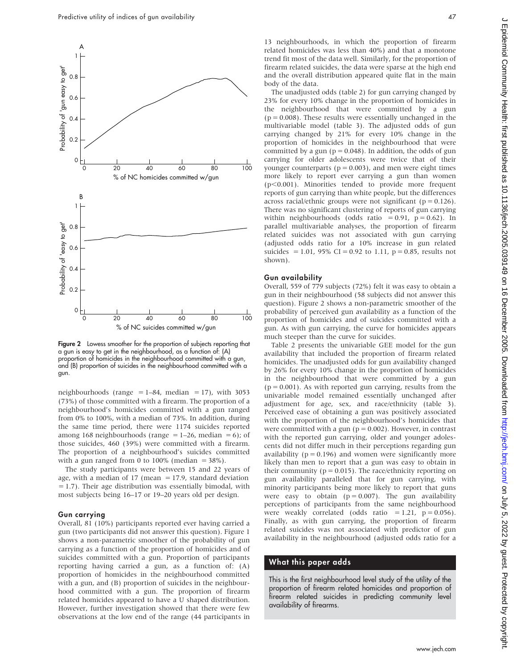

Figure 2 Lowess smoother for the proportion of subjects reporting that a gun is easy to get in the neighbourhood, as a function of: (A) proportion of homicides in the neighbourhood committed with a gun, and (B) proportion of suicides in the neighbourhood committed with a gun.

neighbourhoods (range  $= 1-84$ , median  $= 17$ ), with 3053 (73%) of those committed with a firearm. The proportion of a neighbourhood's homicides committed with a gun ranged from 0% to 100%, with a median of 73%. In addition, during the same time period, there were 1174 suicides reported among 168 neighbourhoods (range = 1–26, median = 6); of those suicides, 460 (39%) were committed with a firearm. The proportion of a neighbourhood's suicides committed with a gun ranged from 0 to  $100\%$  (median =  $38\%$ ).

The study participants were between 15 and 22 years of age, with a median of 17 (mean  $=$  17.9, standard deviation  $= 1.7$ ). Their age distribution was essentially bimodal, with most subjects being 16–17 or 19–20 years old per design.

#### Gun carrying

Overall, 81 (10%) participants reported ever having carried a gun (two participants did not answer this question). Figure 1 shows a non-parametric smoother of the probability of gun carrying as a function of the proportion of homicides and of suicides committed with a gun. Proportion of participants reporting having carried a gun, as a function of: (A) proportion of homicides in the neighbourhood committed with a gun, and (B) proportion of suicides in the neighbourhood committed with a gun. The proportion of firearm related homicides appeared to have a U shaped distribution. However, further investigation showed that there were few observations at the low end of the range (44 participants in

 $\subset$ 

13 neighbourhoods, in which the proportion of firearm related homicides was less than 40%) and that a monotone trend fit most of the data well. Similarly, for the proportion of firearm related suicides, the data were sparse at the high end and the overall distribution appeared quite flat in the main body of the data.

The unadjusted odds (table 2) for gun carrying changed by 23% for every 10% change in the proportion of homicides in the neighbourhood that were committed by a gun  $(p = 0.008)$ . These results were essentially unchanged in the multivariable model (table 3). The adjusted odds of gun carrying changed by 21% for every 10% change in the proportion of homicides in the neighbourhood that were committed by a gun ( $p = 0.048$ ). In addition, the odds of gun carrying for older adolescents were twice that of their younger counterparts ( $p = 0.003$ ), and men were eight times more likely to report ever carrying a gun than women  $(p<0.001)$ . Minorities tended to provide more frequent reports of gun carrying than white people, but the differences across racial/ethnic groups were not significant ( $p = 0.126$ ). There was no significant clustering of reports of gun carrying within neighbourhoods (odds ratio = 0.91,  $p = 0.62$ ). In parallel multivariable analyses, the proportion of firearm related suicides was not associated with gun carrying (adjusted odds ratio for a 10% increase in gun related suicides = 1.01, 95% CI = 0.92 to 1.11,  $p = 0.85$ , results not shown).

#### Gun availability

Overall, 559 of 779 subjects (72%) felt it was easy to obtain a gun in their neighbourhood (58 subjects did not answer this question). Figure 2 shows a non-parametric smoother of the probability of perceived gun availability as a function of the proportion of homicides and of suicides committed with a gun. As with gun carrying, the curve for homicides appears much steeper than the curve for suicides.

Table 2 presents the univariable GEE model for the gun availability that included the proportion of firearm related homicides. The unadjusted odds for gun availability changed by 26% for every 10% change in the proportion of homicides in the neighbourhood that were committed by a gun  $(p = 0.001)$ . As with reported gun carrying, results from the univariable model remained essentially unchanged after adjustment for age, sex, and race/ethnicity (table 3). Perceived ease of obtaining a gun was positively associated with the proportion of the neighbourhood's homicides that were committed with a gun ( $p = 0.002$ ). However, in contrast with the reported gun carrying, older and younger adolescents did not differ much in their perceptions regarding gun availability ( $p = 0.196$ ) and women were significantly more likely than men to report that a gun was easy to obtain in their community ( $p = 0.015$ ). The race/ethnicity reporting on gun availability paralleled that for gun carrying, with minority participants being more likely to report that guns were easy to obtain  $(p = 0.007)$ . The gun availability perceptions of participants from the same neighbourhood were weakly correlated (odds ratio = 1.21,  $p = 0.056$ ). Finally, as with gun carrying, the proportion of firearm related suicides was not associated with predictor of gun availability in the neighbourhood (adjusted odds ratio for a

#### What this paper adds

This is the first neighbourhood level study of the utility of the proportion of firearm related homicides and proportion of firearm related suicides in predicting community level availability of firearms.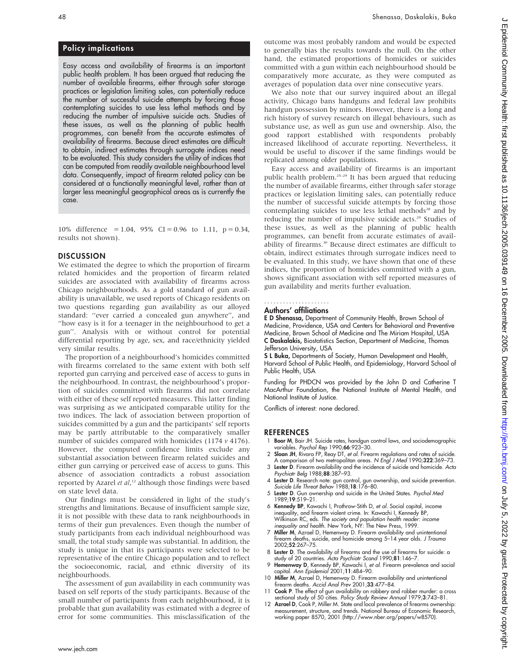Policy implications

Easy access and availability of firearms is an important public health problem. It has been argued that reducing the number of available firearms, either through safer storage practices or legislation limiting sales, can potentially reduce the number of successful suicide attempts by forcing those contemplating suicides to use less lethal methods and by reducing the number of impulsive suicide acts. Studies of these issues, as well as the planning of public health programmes, can benefit from the accurate estimates of availability of firearms. Because direct estimates are difficult to obtain, indirect estimates through surrogate indices need to be evaluated. This study considers the utility of indices that can be computed from readily available neighbourhood level data. Consequently, impact of firearm related policy can be considered at a functionally meaningful level, rather than at larger less meaningful geographical areas as is currently the case.

10% difference = 1.04, 95% CI = 0.96 to 1.11,  $p = 0.34$ , results not shown).

#### **DISCUSSION**

We estimated the degree to which the proportion of firearm related homicides and the proportion of firearm related suicides are associated with availability of firearms across Chicago neighbourhoods. As a gold standard of gun availability is unavailable, we used reports of Chicago residents on two questions regarding gun availability as our alloyed standard: ''ever carried a concealed gun anywhere'', and ''how easy is it for a teenager in the neighbourhood to get a gun''. Analysis with or without control for potential differential reporting by age, sex, and race/ethnicity yielded very similar results.

The proportion of a neighbourhood's homicides committed with firearms correlated to the same extent with both self reported gun carrying and perceived ease of access to guns in the neighbourhood. In contrast, the neighbourhood's proportion of suicides committed with firearms did not correlate with either of these self reported measures. This latter finding was surprising as we anticipated comparable utility for the two indices. The lack of association between proportion of suicides committed by a gun and the participants' self reports may be partly attributable to the comparatively smaller number of suicides compared with homicides (1174  $\nu$  4176). However, the computed confidence limits exclude any substantial association between firearm related suicides and either gun carrying or perceived ease of access to guns. This absence of association contradicts a robust association reported by Azarel et al,<sup>12</sup> although those findings were based on state level data.

Our findings must be considered in light of the study's strengths and limitations. Because of insufficient sample size, it is not possible with these data to rank neighbourhoods in terms of their gun prevalences. Even though the number of study participants from each individual neighbourhood was small, the total study sample was substantial. In addition, the study is unique in that its participants were selected to be representative of the entire Chicago population and to reflect the socioeconomic, racial, and ethnic diversity of its neighbourhoods.

The assessment of gun availability in each community was based on self reports of the study participants. Because of the small number of participants from each neighbourhood, it is probable that gun availability was estimated with a degree of error for some communities. This misclassification of the outcome was most probably random and would be expected to generally bias the results towards the null. On the other hand, the estimated proportions of homicides or suicides committed with a gun within each neighbourhood should be comparatively more accurate, as they were computed as averages of population data over nine consecutive years.

We also note that our survey inquired about an illegal activity, Chicago bans handguns and federal law prohibits handgun possession by minors. However, there is a long and rich history of survey research on illegal behaviours, such as substance use, as well as gun use and ownership. Also, the good rapport established with respondents probably increased likelihood of accurate reporting. Nevertheless, it would be useful to discover if the same findings would be replicated among older populations.

Easy access and availability of firearms is an important public health problem.<sup>25-29</sup> It has been argued that reducing the number of available firearms, either through safer storage practices or legislation limiting sales, can potentially reduce the number of successful suicide attempts by forcing those contemplating suicides to use less lethal methods<sup>28</sup> and by reducing the number of impulsive suicide acts.<sup>29</sup> Studies of these issues, as well as the planning of public health programmes, can benefit from accurate estimates of availability of firearms.<sup>30</sup> Because direct estimates are difficult to obtain, indirect estimates through surrogate indices need to be evaluated. In this study, we have shown that one of these indices, the proportion of homicides committed with a gun, shows significant association with self reported measures of gun availability and merits further evaluation.

# .....................

# Authors' affiliations

E D Shenassa, Department of Community Health, Brown School of Medicine, Providence, USA and Centers for Behavioral and Preventive Medicine, Brown School of Medicine and The Miriam Hospital, USA C Daskalakis, Biostatistics Section, Department of Medicine, Thomas Jefferson University, USA

S L Buka, Departments of Society, Human Development and Health, Harvard School of Public Health, and Epidemiology, Harvard School of Public Health, USA

Funding for PHDCN was provided by the John D and Catherine T MacArthur Foundation, the National Institute of Mental Health, and National Institute of Justice.

Conflicts of interest: none declared.

#### **REFERENCES**

- 1 Boor M, Bair JH. Suicide rates, handgun control laws, and sociodemographic variables. Psychol Rep 1990;66:923–30.
- 2 Sloan JH, Rivara FP, Reay DT, et al. Firearm regulations and rates of suicide. A comparison of two metropolitan areas. N Engl J Med 1990;322:369–73.
- 3 Lester D. Firearm availability and the incidence of suicide and homicide. Acta Psychiatr Belg 1988;88:387–93.
- 4 Lester D. Research note: gun control, gun ownership, and suicide prevention. Suicide Life Threat Behav 1988;18:176–80.
- 5 Lester D. Gun ownership and suicide in the United States. Psychol Med 1989;19:519–21.
- 6 Kennedy BP, Kawachi I, Prothrow-Stith D, et al. Social capital, income inequality, and firearm violent crime. In: Kawachi I, Kennedy BP,<br>Wilkinson RC, eds. *The society and population health reader: income* inequality and health. New York, NY: The New Press, 1999.
- 7 Miller M, Azrael D, Hemenway D. Firearm availability and unintentional firearm deaths, suicide, and homicide among 5–14 year olds. J Trauma 2002;52:267–75.
- 8 Lester D. The availability of firearms and the use of firearms for suicide: a study of 20 countries. Acta Psychiatr Scand 1990;81:146-7.
- 9 Hemenway D, Kennedy BP, Kawachi I, et al. Firearm prevalence and social capital. Ann Epidemiol 2001;11:484–90.
- 10 Miller M, Azrael D, Hemenway D. Firearm availability and unintentional firearm deaths. Accid Anal Prev 2001;33:477–84.
- 11 Cook P. The effect of gun availability on robbery and robber murder: a cross sectional study of 50 cities. Policy Study Review Annual 1979;3:743–81.
- 12 Azrael D, Cook P, Miller M. State and local prevalence of firearms ownership measurement, structure, and trends. National Bureau of Economic Research, working paper 8570, 2001 (http://www.nber.org/papers/w8570).